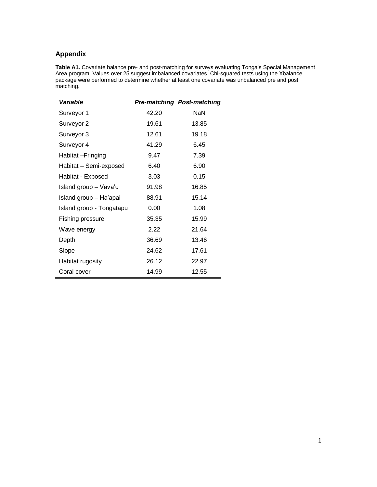## **Appendix**

**Table A1.** Covariate balance pre- and post-matching for surveys evaluating Tonga's Special Management Area program. Values over 25 suggest imbalanced covariates. Chi-squared tests using the Xbalance package were performed to determine whether at least one covariate was unbalanced pre and post matching.

| Variable                 |       | <b>Pre-matching Post-matching</b> |
|--------------------------|-------|-----------------------------------|
| Surveyor 1               | 42.20 | <b>NaN</b>                        |
| Surveyor 2               | 19.61 | 13.85                             |
| Surveyor 3               | 12.61 | 19.18                             |
| Surveyor 4               | 41.29 | 6.45                              |
| Habitat – Fringing       | 9.47  | 7.39                              |
| Habitat - Semi-exposed   | 6.40  | 6.90                              |
| Habitat - Exposed        | 3.03  | 0.15                              |
| Island group - Vava'u    | 91.98 | 16.85                             |
| Island group - Ha'apai   | 88.91 | 15.14                             |
| Island group - Tongatapu | 0.00  | 1.08                              |
| Fishing pressure         | 35.35 | 15.99                             |
| Wave energy              | 2.22  | 21.64                             |
| Depth                    | 36.69 | 13.46                             |
| Slope                    | 24.62 | 17.61                             |
| Habitat rugosity         | 26.12 | 22.97                             |
| Coral cover              | 14.99 | 12.55                             |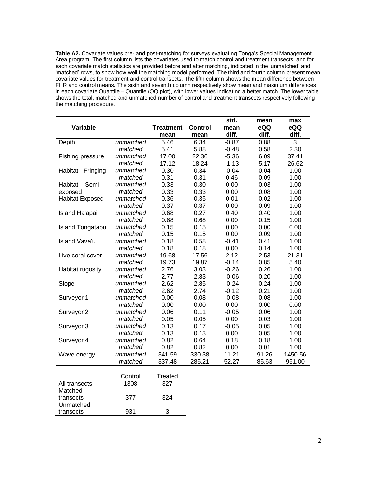**Table A2.** Covariate values pre- and post-matching for surveys evaluating Tonga's Special Management Area program. The first column lists the covariates used to match control and treatment transects, and for each covariate match statistics are provided before and after matching, indicated in the 'unmatched' and 'matched' rows, to show how well the matching model performed. The third and fourth column present mean covariate values for treatment and control transects. The fifth column shows the mean difference between FHR and control means. The sixth and seventh column respectively show mean and maximum differences in each covariate Quantile – Quantile (QQ plot), with lower values indicating a better match. The lower table shows the total, matched and unmatched number of control and treatment transects respectively following the matching procedure.

|                          |           |                  |                | std.    | mean  | max     |
|--------------------------|-----------|------------------|----------------|---------|-------|---------|
| Variable                 |           | <b>Treatment</b> | <b>Control</b> | mean    | eQQ   | eQQ     |
|                          |           | mean             | mean           | diff.   | diff. | diff.   |
| Depth                    | unmatched | 5.46             | 6.34           | $-0.87$ | 0.88  | 3       |
|                          | matched   | 5.41             | 5.88           | $-0.48$ | 0.58  | 2.30    |
| Fishing pressure         | unmatched | 17.00            | 22.36          | $-5.36$ | 6.09  | 37.41   |
|                          | matched   | 17.12            | 18.24          | $-1.13$ | 5.17  | 26.62   |
| Habitat - Fringing       | unmatched | 0.30             | 0.34           | $-0.04$ | 0.04  | 1.00    |
|                          | matched   | 0.31             | 0.31           | 0.46    | 0.09  | 1.00    |
| Habitat - Semi-          | unmatched | 0.33             | 0.30           | 0.00    | 0.03  | 1.00    |
| exposed                  | matched   | 0.33             | 0.33           | 0.00    | 0.08  | 1.00    |
| <b>Habitat Exposed</b>   | unmatched | 0.36             | 0.35           | 0.01    | 0.02  | 1.00    |
|                          | matched   | 0.37             | 0.37           | 0.00    | 0.09  | 1.00    |
| Island Ha'apai           | unmatched | 0.68             | 0.27           | 0.40    | 0.40  | 1.00    |
|                          | matched   | 0.68             | 0.68           | 0.00    | 0.15  | 1.00    |
| <b>Island Tongatapu</b>  | unmatched | 0.15             | 0.15           | 0.00    | 0.00  | 0.00    |
|                          | matched   | 0.15             | 0.15           | 0.00    | 0.09  | 1.00    |
| <b>Island Vava'u</b>     | unmatched | 0.18             | 0.58           | $-0.41$ | 0.41  | 1.00    |
|                          | matched   | 0.18             | 0.18           | 0.00    | 0.14  | 1.00    |
| Live coral cover         | unmatched | 19.68            | 17.56          | 2.12    | 2.53  | 21.31   |
|                          | matched   | 19.73            | 19.87          | $-0.14$ | 0.85  | 5.40    |
| Habitat rugosity         | unmatched | 2.76             | 3.03           | $-0.26$ | 0.26  | 1.00    |
|                          | matched   | 2.77             | 2.83           | $-0.06$ | 0.20  | 1.00    |
| Slope                    | unmatched | 2.62             | 2.85           | $-0.24$ | 0.24  | 1.00    |
|                          | matched   | 2.62             | 2.74           | $-0.12$ | 0.21  | 1.00    |
| Surveyor 1               | unmatched | 0.00             | 0.08           | $-0.08$ | 0.08  | 1.00    |
|                          | matched   | 0.00             | 0.00           | 0.00    | 0.00  | 0.00    |
| Surveyor 2               | unmatched | 0.06             | 0.11           | $-0.05$ | 0.06  | 1.00    |
|                          | matched   | 0.05             | 0.05           | 0.00    | 0.03  | 1.00    |
| Surveyor 3               | unmatched | 0.13             | 0.17           | $-0.05$ | 0.05  | 1.00    |
|                          | matched   | 0.13             | 0.13           | 0.00    | 0.05  | 1.00    |
| Surveyor 4               | unmatched | 0.82             | 0.64           | 0.18    | 0.18  | 1.00    |
|                          | matched   | 0.82             | 0.82           | 0.00    | 0.01  | 1.00    |
| Wave energy              | unmatched | 341.59           | 330.38         | 11.21   | 91.26 | 1450.56 |
|                          | matched   | 337.48           | 285.21         | 52.27   | 85.63 | 951.00  |
|                          | Control   | Treated          |                |         |       |         |
|                          |           |                  |                |         |       |         |
| All transects<br>Matched | 1308      | 327              |                |         |       |         |
| transects                | 377       | 324              |                |         |       |         |
| Unmatched                |           |                  |                |         |       |         |

transects 931 3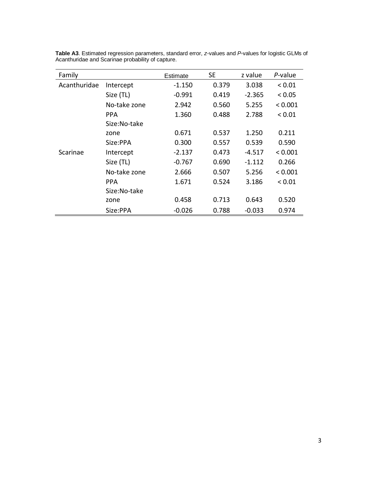| Family       |              | Estimate | <b>SE</b> | z value  | P-value     |
|--------------|--------------|----------|-----------|----------|-------------|
| Acanthuridae | Intercept    | $-1.150$ | 0.379     | 3.038    | ${}_{0.01}$ |
|              | Size (TL)    | $-0.991$ | 0.419     | $-2.365$ | < 0.05      |
|              | No-take zone | 2.942    | 0.560     | 5.255    | < 0.001     |
|              | <b>PPA</b>   | 1.360    | 0.488     | 2.788    | ${}< 0.01$  |
|              | Size:No-take |          |           |          |             |
|              | zone         | 0.671    | 0.537     | 1.250    | 0.211       |
|              | Size:PPA     | 0.300    | 0.557     | 0.539    | 0.590       |
| Scarinae     | Intercept    | $-2.137$ | 0.473     | $-4.517$ | < 0.001     |
|              | Size (TL)    | $-0.767$ | 0.690     | $-1.112$ | 0.266       |
|              | No-take zone | 2.666    | 0.507     | 5.256    | < 0.001     |
|              | <b>PPA</b>   | 1.671    | 0.524     | 3.186    | ${}_{0.01}$ |
|              | Size:No-take |          |           |          |             |
|              | zone         | 0.458    | 0.713     | 0.643    | 0.520       |
|              | Size:PPA     | $-0.026$ | 0.788     | $-0.033$ | 0.974       |

**Table A3**. Estimated regression parameters, standard error, *z-*values and *P*-values for logistic GLMs of Acanthuridae and Scarinae probability of capture.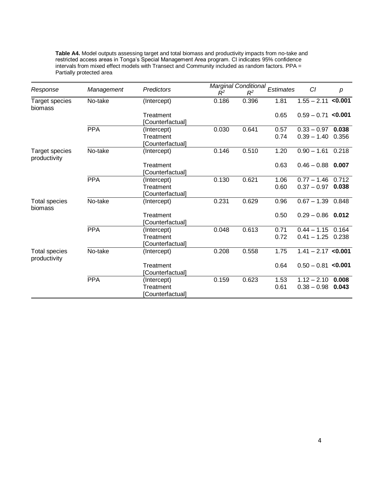| Response                       | Management | <b>Predictors</b> | $R^2$ | $R^2$ | Marginal Conditional Estimates | CI                   | р     |
|--------------------------------|------------|-------------------|-------|-------|--------------------------------|----------------------|-------|
| Target species<br>biomass      | No-take    | (Intercept)       | 0.186 | 0.396 | 1.81                           | $1.55 - 2.11$ <0.001 |       |
|                                |            | Treatment         |       |       | 0.65                           | $0.59 - 0.71$ <0.001 |       |
|                                |            | Counterfactual]   |       |       |                                |                      |       |
|                                | <b>PPA</b> | (Intercept)       | 0.030 | 0.641 | 0.57                           | $0.33 - 0.97$ 0.038  |       |
|                                |            | Treatment         |       |       | 0.74                           | $0.39 - 1.40$ 0.356  |       |
|                                |            | [Counterfactual]  |       |       |                                |                      |       |
| Target species<br>productivity | No-take    | (Intercept)       | 0.146 | 0.510 | 1.20                           | $0.90 - 1.61$ 0.218  |       |
|                                |            | Treatment         |       |       | 0.63                           | $0.46 - 0.88$ 0.007  |       |
|                                |            | Counterfactual]   |       |       |                                |                      |       |
|                                | <b>PPA</b> | (Intercept)       | 0.130 | 0.621 | 1.06                           | $0.77 - 1.46$ 0.712  |       |
|                                |            | Treatment         |       |       | 0.60                           | $0.37 - 0.97$        | 0.038 |
|                                |            | Counterfactual]   |       |       |                                |                      |       |
| Total species<br>biomass       | No-take    | (Intercept)       | 0.231 | 0.629 | 0.96                           | $0.67 - 1.39$        | 0.848 |
|                                |            | Treatment         |       |       | 0.50                           | $0.29 - 0.86$ 0.012  |       |
|                                |            | [Counterfactual]  |       |       |                                |                      |       |
|                                | <b>PPA</b> | (Intercept)       | 0.048 | 0.613 | 0.71                           | $0.44 - 1.15$ 0.164  |       |
|                                |            | Treatment         |       |       | 0.72                           | $0.41 - 1.25$ 0.238  |       |
|                                |            | [Counterfactual]  |       |       |                                |                      |       |
| Total species<br>productivity  | No-take    | (Intercept)       | 0.208 | 0.558 | 1.75                           | $1.41 - 2.17$ <0.001 |       |
|                                |            | Treatment         |       |       | 0.64                           | $0.50 - 0.81$ <0.001 |       |
|                                |            | [Counterfactual]  |       |       |                                |                      |       |
|                                | <b>PPA</b> | (Intercept)       | 0.159 | 0.623 | 1.53                           | $1.12 - 2.10$        | 0.008 |
|                                |            | Treatment         |       |       | 0.61                           | $0.38 - 0.98$        | 0.043 |
|                                |            | [Counterfactual]  |       |       |                                |                      |       |

**Table A4.** Model outputs assessing target and total biomass and productivity impacts from no-take and restricted access areas in Tonga's Special Management Area program. CI indicates 95% confidence intervals from mixed effect models with Transect and Community included as random factors. PPA = Partially protected area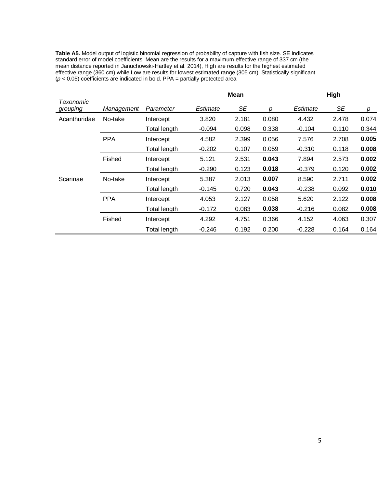**Table A5.** Model output of logistic binomial regression of probability of capture with fish size. SE indicates standard error of model coefficients. Mean are the results for a maximum effective range of 337 cm (the mean distance reported in Januchowski-Hartley et al. 2014), High are results for the highest estimated effective range (360 cm) while Low are results for lowest estimated range (305 cm). Statistically significant (*p <* 0.05) coefficients are indicated in bold. PPA = partially protected area

|                       |            |                     |          | <b>Mean</b> |       |          | High  |       |
|-----------------------|------------|---------------------|----------|-------------|-------|----------|-------|-------|
| Taxonomic<br>grouping | Management | Parameter           | Estimate | SE          | р     | Estimate | SE    | р     |
| Acanthuridae          | No-take    | Intercept           | 3.820    | 2.181       | 0.080 | 4.432    | 2.478 | 0.074 |
|                       |            | <b>Total length</b> | $-0.094$ | 0.098       | 0.338 | $-0.104$ | 0.110 | 0.344 |
|                       | <b>PPA</b> | Intercept           | 4.582    | 2.399       | 0.056 | 7.576    | 2.708 | 0.005 |
|                       |            | Total length        | $-0.202$ | 0.107       | 0.059 | $-0.310$ | 0.118 | 0.008 |
|                       | Fished     | Intercept           | 5.121    | 2.531       | 0.043 | 7.894    | 2.573 | 0.002 |
|                       |            | Total length        | $-0.290$ | 0.123       | 0.018 | $-0.379$ | 0.120 | 0.002 |
| Scarinae              | No-take    | Intercept           | 5.387    | 2.013       | 0.007 | 8.590    | 2.711 | 0.002 |
|                       |            | Total length        | $-0.145$ | 0.720       | 0.043 | $-0.238$ | 0.092 | 0.010 |
|                       | <b>PPA</b> | Intercept           | 4.053    | 2.127       | 0.058 | 5.620    | 2.122 | 0.008 |
|                       |            | Total length        | $-0.172$ | 0.083       | 0.038 | $-0.216$ | 0.082 | 0.008 |
|                       | Fished     | Intercept           | 4.292    | 4.751       | 0.366 | 4.152    | 4.063 | 0.307 |
|                       |            | <b>Total length</b> | $-0.246$ | 0.192       | 0.200 | $-0.228$ | 0.164 | 0.164 |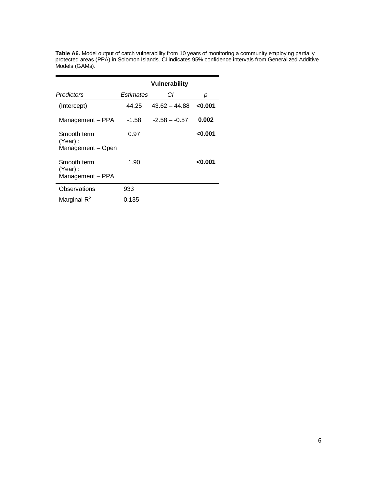|                                             |           | <b>Vulnerability</b> |        |
|---------------------------------------------|-----------|----------------------|--------|
| Predictors                                  | Estimates | СI                   | р      |
| (Intercept)                                 | 44.25     | $43.62 - 44.88$      | 0.001  |
| Management - PPA                            | -1.58     | $-2.58 - -0.57$      | 0.002  |
| Smooth term<br>(Year):<br>Management - Open | 0.97      |                      | <0.001 |
| Smooth term<br>(Year):<br>Management - PPA  | 1.90      |                      | <0.001 |
| Observations                                | 933       |                      |        |
| Marginal $\mathsf{R}^2$                     | 0.135     |                      |        |

**Table A6.** Model output of catch vulnerability from 10 years of monitoring a community employing partially protected areas (PPA) in Solomon Islands. CI indicates 95% confidence intervals from Generalized Additive Models (GAMs).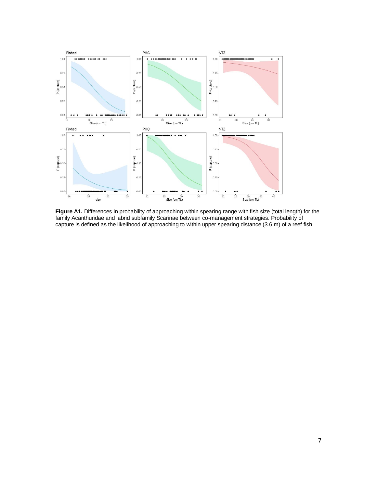

**Figure A1.** Differences in probability of approaching within spearing range with fish size (total length) for the family Acanthuridae and labrid subfamily Scarinae between co-management strategies. Probability of capture is defined as the likelihood of approaching to within upper spearing distance (3.6 m) of a reef fish.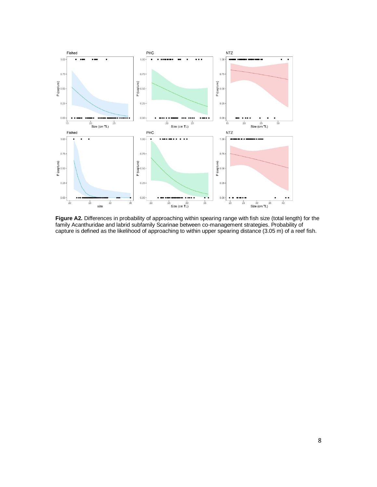

Figure A2. Differences in probability of approaching within spearing range with fish size (total length) for the family Acanthuridae and labrid subfamily Scarinae between co-management strategies. Probability of capture is defined as the likelihood of approaching to within upper spearing distance (3.05 m) of a reef fish.